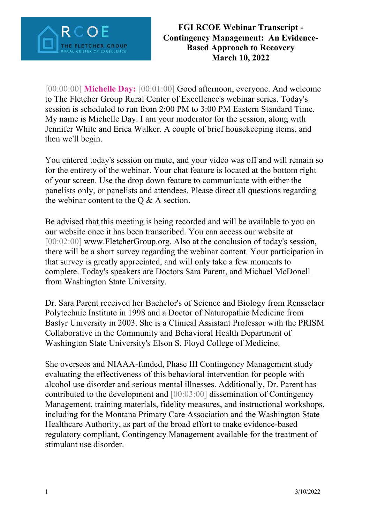

[00:00:00] **Michelle Day:** [00:01:00] Good afternoon, everyone. And welcome to The Fletcher Group Rural Center of Excellence's webinar series. Today's session is scheduled to run from 2:00 PM to 3:00 PM Eastern Standard Time. My name is Michelle Day. I am your moderator for the session, along with Jennifer White and Erica Walker. A couple of brief housekeeping items, and then we'll begin.

You entered today's session on mute, and your video was off and will remain so for the entirety of the webinar. Your chat feature is located at the bottom right of your screen. Use the drop down feature to communicate with either the panelists only, or panelists and attendees. Please direct all questions regarding the webinar content to the  $Q & A$  section.

Be advised that this meeting is being recorded and will be available to you on our website once it has been transcribed. You can access our website at [00:02:00] www.FletcherGroup.org. Also at the conclusion of today's session, there will be a short survey regarding the webinar content. Your participation in that survey is greatly appreciated, and will only take a few moments to complete. Today's speakers are Doctors Sara Parent, and Michael McDonell from Washington State University.

Dr. Sara Parent received her Bachelor's of Science and Biology from Rensselaer Polytechnic Institute in 1998 and a Doctor of Naturopathic Medicine from Bastyr University in 2003. She is a Clinical Assistant Professor with the PRISM Collaborative in the Community and Behavioral Health Department of Washington State University's Elson S. Floyd College of Medicine.

She oversees and NIAAA-funded, Phase III Contingency Management study evaluating the effectiveness of this behavioral intervention for people with alcohol use disorder and serious mental illnesses. Additionally, Dr. Parent has contributed to the development and [00:03:00] dissemination of Contingency Management, training materials, fidelity measures, and instructional workshops, including for the Montana Primary Care Association and the Washington State Healthcare Authority, as part of the broad effort to make evidence-based regulatory compliant, Contingency Management available for the treatment of stimulant use disorder.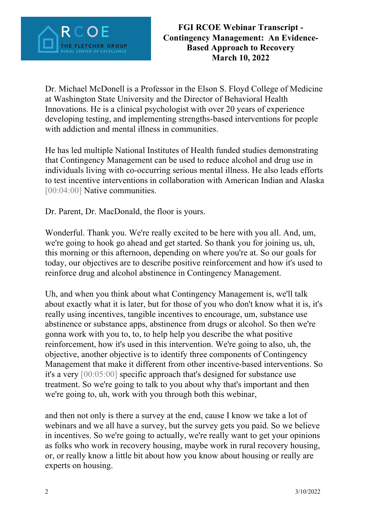

Dr. Michael McDonell is a Professor in the Elson S. Floyd College of Medicine at Washington State University and the Director of Behavioral Health Innovations. He is a clinical psychologist with over 20 years of experience developing testing, and implementing strengths-based interventions for people with addiction and mental illness in communities.

He has led multiple National Institutes of Health funded studies demonstrating that Contingency Management can be used to reduce alcohol and drug use in individuals living with co-occurring serious mental illness. He also leads efforts to test incentive interventions in collaboration with American Indian and Alaska [00:04:00] Native communities.

Dr. Parent, Dr. MacDonald, the floor is yours.

Wonderful. Thank you. We're really excited to be here with you all. And, um, we're going to hook go ahead and get started. So thank you for joining us, uh, this morning or this afternoon, depending on where you're at. So our goals for today, our objectives are to describe positive reinforcement and how it's used to reinforce drug and alcohol abstinence in Contingency Management.

Uh, and when you think about what Contingency Management is, we'll talk about exactly what it is later, but for those of you who don't know what it is, it's really using incentives, tangible incentives to encourage, um, substance use abstinence or substance apps, abstinence from drugs or alcohol. So then we're gonna work with you to, to, to help help you describe the what positive reinforcement, how it's used in this intervention. We're going to also, uh, the objective, another objective is to identify three components of Contingency Management that make it different from other incentive-based interventions. So it's a very [00:05:00] specific approach that's designed for substance use treatment. So we're going to talk to you about why that's important and then we're going to, uh, work with you through both this webinar,

and then not only is there a survey at the end, cause I know we take a lot of webinars and we all have a survey, but the survey gets you paid. So we believe in incentives. So we're going to actually, we're really want to get your opinions as folks who work in recovery housing, maybe work in rural recovery housing, or, or really know a little bit about how you know about housing or really are experts on housing.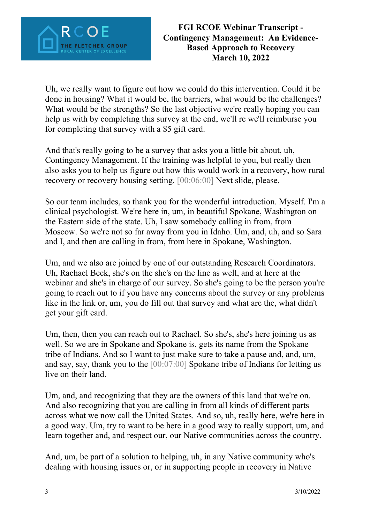

Uh, we really want to figure out how we could do this intervention. Could it be done in housing? What it would be, the barriers, what would be the challenges? What would be the strengths? So the last objective we're really hoping you can help us with by completing this survey at the end, we'll re we'll reimburse you for completing that survey with a \$5 gift card.

And that's really going to be a survey that asks you a little bit about, uh, Contingency Management. If the training was helpful to you, but really then also asks you to help us figure out how this would work in a recovery, how rural recovery or recovery housing setting. [00:06:00] Next slide, please.

So our team includes, so thank you for the wonderful introduction. Myself. I'm a clinical psychologist. We're here in, um, in beautiful Spokane, Washington on the Eastern side of the state. Uh, I saw somebody calling in from, from Moscow. So we're not so far away from you in Idaho. Um, and, uh, and so Sara and I, and then are calling in from, from here in Spokane, Washington.

Um, and we also are joined by one of our outstanding Research Coordinators. Uh, Rachael Beck, she's on the she's on the line as well, and at here at the webinar and she's in charge of our survey. So she's going to be the person you're going to reach out to if you have any concerns about the survey or any problems like in the link or, um, you do fill out that survey and what are the, what didn't get your gift card.

Um, then, then you can reach out to Rachael. So she's, she's here joining us as well. So we are in Spokane and Spokane is, gets its name from the Spokane tribe of Indians. And so I want to just make sure to take a pause and, and, um, and say, say, thank you to the [00:07:00] Spokane tribe of Indians for letting us live on their land.

Um, and, and recognizing that they are the owners of this land that we're on. And also recognizing that you are calling in from all kinds of different parts across what we now call the United States. And so, uh, really here, we're here in a good way. Um, try to want to be here in a good way to really support, um, and learn together and, and respect our, our Native communities across the country.

And, um, be part of a solution to helping, uh, in any Native community who's dealing with housing issues or, or in supporting people in recovery in Native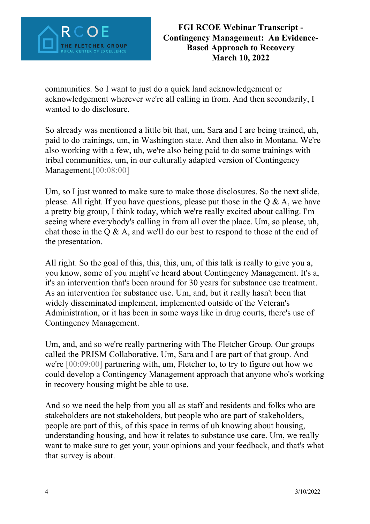

communities. So I want to just do a quick land acknowledgement or acknowledgement wherever we're all calling in from. And then secondarily, I wanted to do disclosure.

So already was mentioned a little bit that, um, Sara and I are being trained, uh, paid to do trainings, um, in Washington state. And then also in Montana. We're also working with a few, uh, we're also being paid to do some trainings with tribal communities, um, in our culturally adapted version of Contingency Management.[00:08:00]

Um, so I just wanted to make sure to make those disclosures. So the next slide, please. All right. If you have questions, please put those in the Q & A, we have a pretty big group, I think today, which we're really excited about calling. I'm seeing where everybody's calling in from all over the place. Um, so please, uh, chat those in the  $Q \& A$ , and we'll do our best to respond to those at the end of the presentation.

All right. So the goal of this, this, this, um, of this talk is really to give you a, you know, some of you might've heard about Contingency Management. It's a, it's an intervention that's been around for 30 years for substance use treatment. As an intervention for substance use. Um, and, but it really hasn't been that widely disseminated implement, implemented outside of the Veteran's Administration, or it has been in some ways like in drug courts, there's use of Contingency Management.

Um, and, and so we're really partnering with The Fletcher Group. Our groups called the PRISM Collaborative. Um, Sara and I are part of that group. And we're [00:09:00] partnering with, um, Fletcher to, to try to figure out how we could develop a Contingency Management approach that anyone who's working in recovery housing might be able to use.

And so we need the help from you all as staff and residents and folks who are stakeholders are not stakeholders, but people who are part of stakeholders, people are part of this, of this space in terms of uh knowing about housing, understanding housing, and how it relates to substance use care. Um, we really want to make sure to get your, your opinions and your feedback, and that's what that survey is about.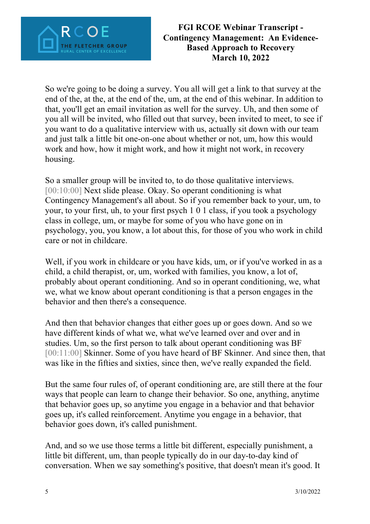

So we're going to be doing a survey. You all will get a link to that survey at the end of the, at the, at the end of the, um, at the end of this webinar. In addition to that, you'll get an email invitation as well for the survey. Uh, and then some of you all will be invited, who filled out that survey, been invited to meet, to see if you want to do a qualitative interview with us, actually sit down with our team and just talk a little bit one-on-one about whether or not, um, how this would work and how, how it might work, and how it might not work, in recovery housing.

So a smaller group will be invited to, to do those qualitative interviews. [00:10:00] Next slide please. Okay. So operant conditioning is what Contingency Management's all about. So if you remember back to your, um, to your, to your first, uh, to your first psych 1 0 1 class, if you took a psychology class in college, um, or maybe for some of you who have gone on in psychology, you, you know, a lot about this, for those of you who work in child care or not in childcare.

Well, if you work in childcare or you have kids, um, or if you've worked in as a child, a child therapist, or, um, worked with families, you know, a lot of, probably about operant conditioning. And so in operant conditioning, we, what we, what we know about operant conditioning is that a person engages in the behavior and then there's a consequence.

And then that behavior changes that either goes up or goes down. And so we have different kinds of what we, what we've learned over and over and in studies. Um, so the first person to talk about operant conditioning was BF [00:11:00] Skinner. Some of you have heard of BF Skinner. And since then, that was like in the fifties and sixties, since then, we've really expanded the field.

But the same four rules of, of operant conditioning are, are still there at the four ways that people can learn to change their behavior. So one, anything, anytime that behavior goes up, so anytime you engage in a behavior and that behavior goes up, it's called reinforcement. Anytime you engage in a behavior, that behavior goes down, it's called punishment.

And, and so we use those terms a little bit different, especially punishment, a little bit different, um, than people typically do in our day-to-day kind of conversation. When we say something's positive, that doesn't mean it's good. It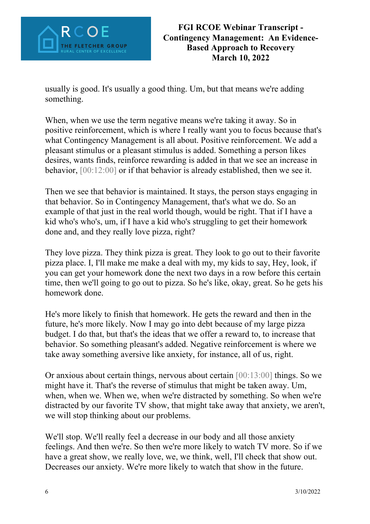

usually is good. It's usually a good thing. Um, but that means we're adding something.

When, when we use the term negative means we're taking it away. So in positive reinforcement, which is where I really want you to focus because that's what Contingency Management is all about. Positive reinforcement. We add a pleasant stimulus or a pleasant stimulus is added. Something a person likes desires, wants finds, reinforce rewarding is added in that we see an increase in behavior, [00:12:00] or if that behavior is already established, then we see it.

Then we see that behavior is maintained. It stays, the person stays engaging in that behavior. So in Contingency Management, that's what we do. So an example of that just in the real world though, would be right. That if I have a kid who's who's, um, if I have a kid who's struggling to get their homework done and, and they really love pizza, right?

They love pizza. They think pizza is great. They look to go out to their favorite pizza place. I, I'll make me make a deal with my, my kids to say, Hey, look, if you can get your homework done the next two days in a row before this certain time, then we'll going to go out to pizza. So he's like, okay, great. So he gets his homework done.

He's more likely to finish that homework. He gets the reward and then in the future, he's more likely. Now I may go into debt because of my large pizza budget. I do that, but that's the ideas that we offer a reward to, to increase that behavior. So something pleasant's added. Negative reinforcement is where we take away something aversive like anxiety, for instance, all of us, right.

Or anxious about certain things, nervous about certain [00:13:00] things. So we might have it. That's the reverse of stimulus that might be taken away. Um, when, when we. When we, when we're distracted by something. So when we're distracted by our favorite TV show, that might take away that anxiety, we aren't, we will stop thinking about our problems.

We'll stop. We'll really feel a decrease in our body and all those anxiety feelings. And then we're. So then we're more likely to watch TV more. So if we have a great show, we really love, we, we think, well, I'll check that show out. Decreases our anxiety. We're more likely to watch that show in the future.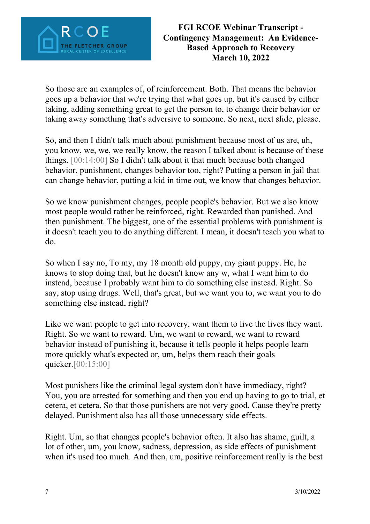

So those are an examples of, of reinforcement. Both. That means the behavior goes up a behavior that we're trying that what goes up, but it's caused by either taking, adding something great to get the person to, to change their behavior or taking away something that's adversive to someone. So next, next slide, please.

So, and then I didn't talk much about punishment because most of us are, uh, you know, we, we, we really know, the reason I talked about is because of these things. [00:14:00] So I didn't talk about it that much because both changed behavior, punishment, changes behavior too, right? Putting a person in jail that can change behavior, putting a kid in time out, we know that changes behavior.

So we know punishment changes, people people's behavior. But we also know most people would rather be reinforced, right. Rewarded than punished. And then punishment. The biggest, one of the essential problems with punishment is it doesn't teach you to do anything different. I mean, it doesn't teach you what to do.

So when I say no, To my, my 18 month old puppy, my giant puppy. He, he knows to stop doing that, but he doesn't know any w, what I want him to do instead, because I probably want him to do something else instead. Right. So say, stop using drugs. Well, that's great, but we want you to, we want you to do something else instead, right?

Like we want people to get into recovery, want them to live the lives they want. Right. So we want to reward. Um, we want to reward, we want to reward behavior instead of punishing it, because it tells people it helps people learn more quickly what's expected or, um, helps them reach their goals quicker.[00:15:00]

Most punishers like the criminal legal system don't have immediacy, right? You, you are arrested for something and then you end up having to go to trial, et cetera, et cetera. So that those punishers are not very good. Cause they're pretty delayed. Punishment also has all those unnecessary side effects.

Right. Um, so that changes people's behavior often. It also has shame, guilt, a lot of other, um, you know, sadness, depression, as side effects of punishment when it's used too much. And then, um, positive reinforcement really is the best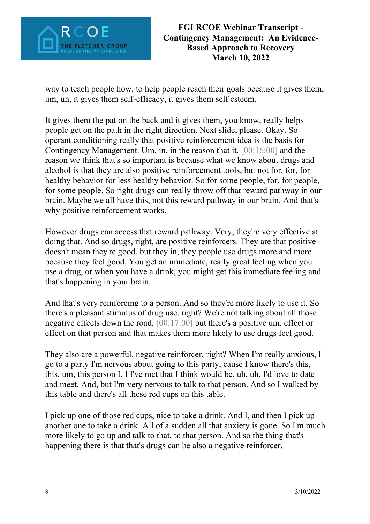

way to teach people how, to help people reach their goals because it gives them, um, uh, it gives them self-efficacy, it gives them self esteem.

It gives them the pat on the back and it gives them, you know, really helps people get on the path in the right direction. Next slide, please. Okay. So operant conditioning really that positive reinforcement idea is the basis for Contingency Management. Um, in, in the reason that it, [00:16:00] and the reason we think that's so important is because what we know about drugs and alcohol is that they are also positive reinforcement tools, but not for, for, for healthy behavior for less healthy behavior. So for some people, for, for people, for some people. So right drugs can really throw off that reward pathway in our brain. Maybe we all have this, not this reward pathway in our brain. And that's why positive reinforcement works.

However drugs can access that reward pathway. Very, they're very effective at doing that. And so drugs, right, are positive reinforcers. They are that positive doesn't mean they're good, but they in, they people use drugs more and more because they feel good. You get an immediate, really great feeling when you use a drug, or when you have a drink, you might get this immediate feeling and that's happening in your brain.

And that's very reinforcing to a person. And so they're more likely to use it. So there's a pleasant stimulus of drug use, right? We're not talking about all those negative effects down the road, [00:17:00] but there's a positive um, effect or effect on that person and that makes them more likely to use drugs feel good.

They also are a powerful, negative reinforcer, right? When I'm really anxious, I go to a party I'm nervous about going to this party, cause I know there's this, this, um, this person I, I I've met that I think would be, uh, uh, I'd love to date and meet. And, but I'm very nervous to talk to that person. And so I walked by this table and there's all these red cups on this table.

I pick up one of those red cups, nice to take a drink. And I, and then I pick up another one to take a drink. All of a sudden all that anxiety is gone. So I'm much more likely to go up and talk to that, to that person. And so the thing that's happening there is that that's drugs can be also a negative reinforcer.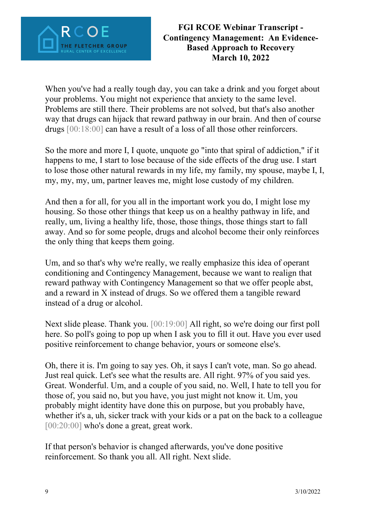

When you've had a really tough day, you can take a drink and you forget about your problems. You might not experience that anxiety to the same level. Problems are still there. Their problems are not solved, but that's also another way that drugs can hijack that reward pathway in our brain. And then of course drugs [00:18:00] can have a result of a loss of all those other reinforcers.

So the more and more I, I quote, unquote go "into that spiral of addiction," if it happens to me, I start to lose because of the side effects of the drug use. I start to lose those other natural rewards in my life, my family, my spouse, maybe I, I, my, my, my, um, partner leaves me, might lose custody of my children.

And then a for all, for you all in the important work you do, I might lose my housing. So those other things that keep us on a healthy pathway in life, and really, um, living a healthy life, those, those things, those things start to fall away. And so for some people, drugs and alcohol become their only reinforces the only thing that keeps them going.

Um, and so that's why we're really, we really emphasize this idea of operant conditioning and Contingency Management, because we want to realign that reward pathway with Contingency Management so that we offer people abst, and a reward in X instead of drugs. So we offered them a tangible reward instead of a drug or alcohol.

Next slide please. Thank you. [00:19:00] All right, so we're doing our first poll here. So poll's going to pop up when I ask you to fill it out. Have you ever used positive reinforcement to change behavior, yours or someone else's.

Oh, there it is. I'm going to say yes. Oh, it says I can't vote, man. So go ahead. Just real quick. Let's see what the results are. All right. 97% of you said yes. Great. Wonderful. Um, and a couple of you said, no. Well, I hate to tell you for those of, you said no, but you have, you just might not know it. Um, you probably might identity have done this on purpose, but you probably have, whether it's a, uh, sicker track with your kids or a pat on the back to a colleague [00:20:00] who's done a great, great work.

If that person's behavior is changed afterwards, you've done positive reinforcement. So thank you all. All right. Next slide.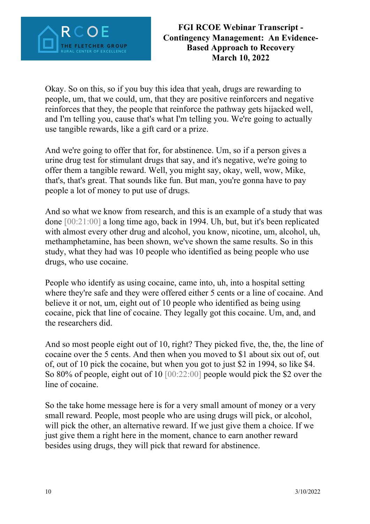

Okay. So on this, so if you buy this idea that yeah, drugs are rewarding to people, um, that we could, um, that they are positive reinforcers and negative reinforces that they, the people that reinforce the pathway gets hijacked well, and I'm telling you, cause that's what I'm telling you. We're going to actually use tangible rewards, like a gift card or a prize.

And we're going to offer that for, for abstinence. Um, so if a person gives a urine drug test for stimulant drugs that say, and it's negative, we're going to offer them a tangible reward. Well, you might say, okay, well, wow, Mike, that's, that's great. That sounds like fun. But man, you're gonna have to pay people a lot of money to put use of drugs.

And so what we know from research, and this is an example of a study that was done [00:21:00] a long time ago, back in 1994. Uh, but, but it's been replicated with almost every other drug and alcohol, you know, nicotine, um, alcohol, uh, methamphetamine, has been shown, we've shown the same results. So in this study, what they had was 10 people who identified as being people who use drugs, who use cocaine.

People who identify as using cocaine, came into, uh, into a hospital setting where they're safe and they were offered either 5 cents or a line of cocaine. And believe it or not, um, eight out of 10 people who identified as being using cocaine, pick that line of cocaine. They legally got this cocaine. Um, and, and the researchers did.

And so most people eight out of 10, right? They picked five, the, the, the line of cocaine over the 5 cents. And then when you moved to \$1 about six out of, out of, out of 10 pick the cocaine, but when you got to just \$2 in 1994, so like \$4. So 80% of people, eight out of 10 [00:22:00] people would pick the \$2 over the line of cocaine.

So the take home message here is for a very small amount of money or a very small reward. People, most people who are using drugs will pick, or alcohol, will pick the other, an alternative reward. If we just give them a choice. If we just give them a right here in the moment, chance to earn another reward besides using drugs, they will pick that reward for abstinence.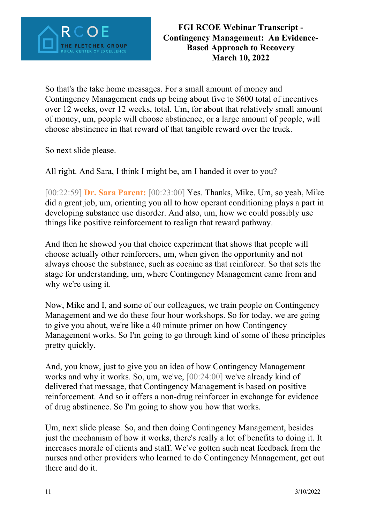

So that's the take home messages. For a small amount of money and Contingency Management ends up being about five to \$600 total of incentives over 12 weeks, over 12 weeks, total. Um, for about that relatively small amount of money, um, people will choose abstinence, or a large amount of people, will choose abstinence in that reward of that tangible reward over the truck.

So next slide please.

All right. And Sara, I think I might be, am I handed it over to you?

[00:22:59] **Dr. Sara Parent:** [00:23:00] Yes. Thanks, Mike. Um, so yeah, Mike did a great job, um, orienting you all to how operant conditioning plays a part in developing substance use disorder. And also, um, how we could possibly use things like positive reinforcement to realign that reward pathway.

And then he showed you that choice experiment that shows that people will choose actually other reinforcers, um, when given the opportunity and not always choose the substance, such as cocaine as that reinforcer. So that sets the stage for understanding, um, where Contingency Management came from and why we're using it.

Now, Mike and I, and some of our colleagues, we train people on Contingency Management and we do these four hour workshops. So for today, we are going to give you about, we're like a 40 minute primer on how Contingency Management works. So I'm going to go through kind of some of these principles pretty quickly.

And, you know, just to give you an idea of how Contingency Management works and why it works. So, um, we've, [00:24:00] we've already kind of delivered that message, that Contingency Management is based on positive reinforcement. And so it offers a non-drug reinforcer in exchange for evidence of drug abstinence. So I'm going to show you how that works.

Um, next slide please. So, and then doing Contingency Management, besides just the mechanism of how it works, there's really a lot of benefits to doing it. It increases morale of clients and staff. We've gotten such neat feedback from the nurses and other providers who learned to do Contingency Management, get out there and do it.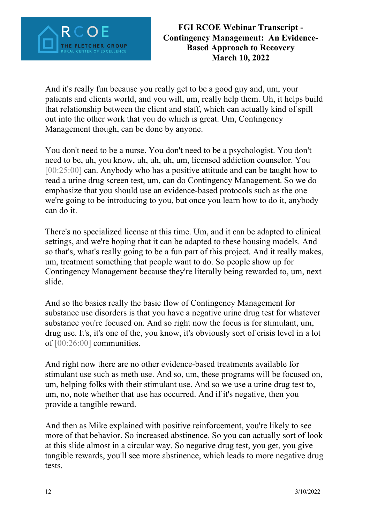

And it's really fun because you really get to be a good guy and, um, your patients and clients world, and you will, um, really help them. Uh, it helps build that relationship between the client and staff, which can actually kind of spill out into the other work that you do which is great. Um, Contingency Management though, can be done by anyone.

You don't need to be a nurse. You don't need to be a psychologist. You don't need to be, uh, you know, uh, uh, uh, um, licensed addiction counselor. You [00:25:00] can. Anybody who has a positive attitude and can be taught how to read a urine drug screen test, um, can do Contingency Management. So we do emphasize that you should use an evidence-based protocols such as the one we're going to be introducing to you, but once you learn how to do it, anybody can do it.

There's no specialized license at this time. Um, and it can be adapted to clinical settings, and we're hoping that it can be adapted to these housing models. And so that's, what's really going to be a fun part of this project. And it really makes, um, treatment something that people want to do. So people show up for Contingency Management because they're literally being rewarded to, um, next slide.

And so the basics really the basic flow of Contingency Management for substance use disorders is that you have a negative urine drug test for whatever substance you're focused on. And so right now the focus is for stimulant, um, drug use. It's, it's one of the, you know, it's obviously sort of crisis level in a lot of [00:26:00] communities.

And right now there are no other evidence-based treatments available for stimulant use such as meth use. And so, um, these programs will be focused on, um, helping folks with their stimulant use. And so we use a urine drug test to, um, no, note whether that use has occurred. And if it's negative, then you provide a tangible reward.

And then as Mike explained with positive reinforcement, you're likely to see more of that behavior. So increased abstinence. So you can actually sort of look at this slide almost in a circular way. So negative drug test, you get, you give tangible rewards, you'll see more abstinence, which leads to more negative drug tests.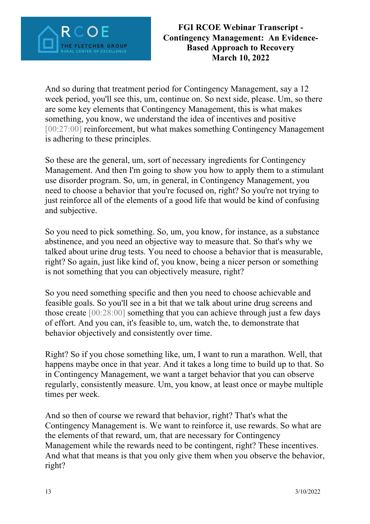

And so during that treatment period for Contingency Management, say a 12 week period, you'll see this, um, continue on. So next side, please. Um, so there are some key elements that Contingency Management, this is what makes something, you know, we understand the idea of incentives and positive [00:27:00] reinforcement, but what makes something Contingency Management is adhering to these principles.

So these are the general, um, sort of necessary ingredients for Contingency Management. And then I'm going to show you how to apply them to a stimulant use disorder program. So, um, in general, in Contingency Management, you need to choose a behavior that you're focused on, right? So you're not trying to just reinforce all of the elements of a good life that would be kind of confusing and subjective.

So you need to pick something. So, um, you know, for instance, as a substance abstinence, and you need an objective way to measure that. So that's why we talked about urine drug tests. You need to choose a behavior that is measurable, right? So again, just like kind of, you know, being a nicer person or something is not something that you can objectively measure, right?

So you need something specific and then you need to choose achievable and feasible goals. So you'll see in a bit that we talk about urine drug screens and those create [00:28:00] something that you can achieve through just a few days of effort. And you can, it's feasible to, um, watch the, to demonstrate that behavior objectively and consistently over time.

Right? So if you chose something like, um, I want to run a marathon. Well, that happens maybe once in that year. And it takes a long time to build up to that. So in Contingency Management, we want a target behavior that you can observe regularly, consistently measure. Um, you know, at least once or maybe multiple times per week.

And so then of course we reward that behavior, right? That's what the Contingency Management is. We want to reinforce it, use rewards. So what are the elements of that reward, um, that are necessary for Contingency Management while the rewards need to be contingent, right? These incentives. And what that means is that you only give them when you observe the behavior, right?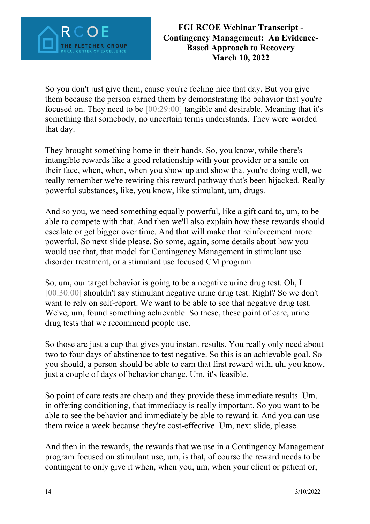

So you don't just give them, cause you're feeling nice that day. But you give them because the person earned them by demonstrating the behavior that you're focused on. They need to be [00:29:00] tangible and desirable. Meaning that it's something that somebody, no uncertain terms understands. They were worded that day.

They brought something home in their hands. So, you know, while there's intangible rewards like a good relationship with your provider or a smile on their face, when, when, when you show up and show that you're doing well, we really remember we're rewiring this reward pathway that's been hijacked. Really powerful substances, like, you know, like stimulant, um, drugs.

And so you, we need something equally powerful, like a gift card to, um, to be able to compete with that. And then we'll also explain how these rewards should escalate or get bigger over time. And that will make that reinforcement more powerful. So next slide please. So some, again, some details about how you would use that, that model for Contingency Management in stimulant use disorder treatment, or a stimulant use focused CM program.

So, um, our target behavior is going to be a negative urine drug test. Oh, I [00:30:00] shouldn't say stimulant negative urine drug test. Right? So we don't want to rely on self-report. We want to be able to see that negative drug test. We've, um, found something achievable. So these, these point of care, urine drug tests that we recommend people use.

So those are just a cup that gives you instant results. You really only need about two to four days of abstinence to test negative. So this is an achievable goal. So you should, a person should be able to earn that first reward with, uh, you know, just a couple of days of behavior change. Um, it's feasible.

So point of care tests are cheap and they provide these immediate results. Um, in offering conditioning, that immediacy is really important. So you want to be able to see the behavior and immediately be able to reward it. And you can use them twice a week because they're cost-effective. Um, next slide, please.

And then in the rewards, the rewards that we use in a Contingency Management program focused on stimulant use, um, is that, of course the reward needs to be contingent to only give it when, when you, um, when your client or patient or,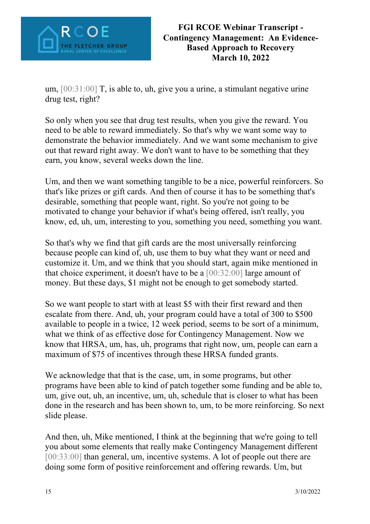

um, [00:31:00] T, is able to, uh, give you a urine, a stimulant negative urine drug test, right?

So only when you see that drug test results, when you give the reward. You need to be able to reward immediately. So that's why we want some way to demonstrate the behavior immediately. And we want some mechanism to give out that reward right away. We don't want to have to be something that they earn, you know, several weeks down the line.

Um, and then we want something tangible to be a nice, powerful reinforcers. So that's like prizes or gift cards. And then of course it has to be something that's desirable, something that people want, right. So you're not going to be motivated to change your behavior if what's being offered, isn't really, you know, ed, uh, um, interesting to you, something you need, something you want.

So that's why we find that gift cards are the most universally reinforcing because people can kind of, uh, use them to buy what they want or need and customize it. Um, and we think that you should start, again mike mentioned in that choice experiment, it doesn't have to be a  $[00:32:00]$  large amount of money. But these days, \$1 might not be enough to get somebody started.

So we want people to start with at least \$5 with their first reward and then escalate from there. And, uh, your program could have a total of 300 to \$500 available to people in a twice, 12 week period, seems to be sort of a minimum, what we think of as effective dose for Contingency Management. Now we know that HRSA, um, has, uh, programs that right now, um, people can earn a maximum of \$75 of incentives through these HRSA funded grants.

We acknowledge that that is the case, um, in some programs, but other programs have been able to kind of patch together some funding and be able to, um, give out, uh, an incentive, um, uh, schedule that is closer to what has been done in the research and has been shown to, um, to be more reinforcing. So next slide please.

And then, uh, Mike mentioned, I think at the beginning that we're going to tell you about some elements that really make Contingency Management different [00:33:00] than general, um, incentive systems. A lot of people out there are doing some form of positive reinforcement and offering rewards. Um, but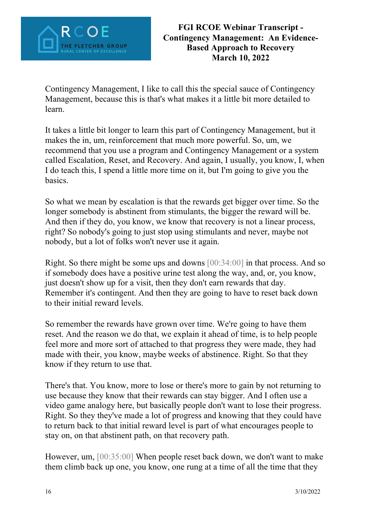

Contingency Management, I like to call this the special sauce of Contingency Management, because this is that's what makes it a little bit more detailed to learn.

It takes a little bit longer to learn this part of Contingency Management, but it makes the in, um, reinforcement that much more powerful. So, um, we recommend that you use a program and Contingency Management or a system called Escalation, Reset, and Recovery. And again, I usually, you know, I, when I do teach this, I spend a little more time on it, but I'm going to give you the basics.

So what we mean by escalation is that the rewards get bigger over time. So the longer somebody is abstinent from stimulants, the bigger the reward will be. And then if they do, you know, we know that recovery is not a linear process, right? So nobody's going to just stop using stimulants and never, maybe not nobody, but a lot of folks won't never use it again.

Right. So there might be some ups and downs [00:34:00] in that process. And so if somebody does have a positive urine test along the way, and, or, you know, just doesn't show up for a visit, then they don't earn rewards that day. Remember it's contingent. And then they are going to have to reset back down to their initial reward levels.

So remember the rewards have grown over time. We're going to have them reset. And the reason we do that, we explain it ahead of time, is to help people feel more and more sort of attached to that progress they were made, they had made with their, you know, maybe weeks of abstinence. Right. So that they know if they return to use that.

There's that. You know, more to lose or there's more to gain by not returning to use because they know that their rewards can stay bigger. And I often use a video game analogy here, but basically people don't want to lose their progress. Right. So they they've made a lot of progress and knowing that they could have to return back to that initial reward level is part of what encourages people to stay on, on that abstinent path, on that recovery path.

However, um, [00:35:00] When people reset back down, we don't want to make them climb back up one, you know, one rung at a time of all the time that they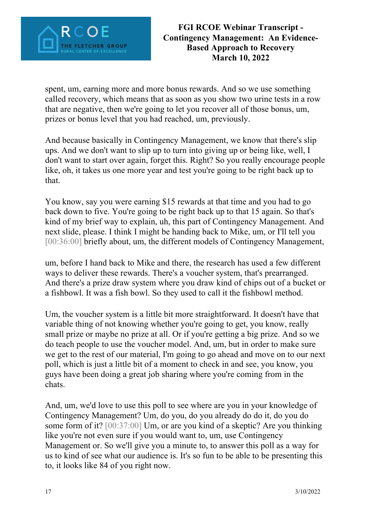

spent, um, earning more and more bonus rewards. And so we use something called recovery, which means that as soon as you show two urine tests in a row that are negative, then we're going to let you recover all of those bonus, um, prizes or bonus level that you had reached, um, previously.

And because basically in Contingency Management, we know that there's slip ups. And we don't want to slip up to turn into giving up or being like, well, I don't want to start over again, forget this. Right? So you really encourage people like, oh, it takes us one more year and test you're going to be right back up to that.

You know, say you were earning \$15 rewards at that time and you had to go back down to five. You're going to be right back up to that 15 again. So that's kind of my brief way to explain, uh, this part of Contingency Management. And next slide, please. I think I might be handing back to Mike, um, or I'll tell you [00:36:00] briefly about, um, the different models of Contingency Management,

um, before I hand back to Mike and there, the research has used a few different ways to deliver these rewards. There's a voucher system, that's prearranged. And there's a prize draw system where you draw kind of chips out of a bucket or a fishbowl. It was a fish bowl. So they used to call it the fishbowl method.

Um, the voucher system is a little bit more straightforward. It doesn't have that variable thing of not knowing whether you're going to get, you know, really small prize or maybe no prize at all. Or if you're getting a big prize. And so we do teach people to use the voucher model. And, um, but in order to make sure we get to the rest of our material, I'm going to go ahead and move on to our next poll, which is just a little bit of a moment to check in and see, you know, you guys have been doing a great job sharing where you're coming from in the chats.

And, um, we'd love to use this poll to see where are you in your knowledge of Contingency Management? Um, do you, do you already do do it, do you do some form of it? [00:37:00] Um, or are you kind of a skeptic? Are you thinking like you're not even sure if you would want to, um, use Contingency Management or. So we'll give you a minute to, to answer this poll as a way for us to kind of see what our audience is. It's so fun to be able to be presenting this to, it looks like 84 of you right now.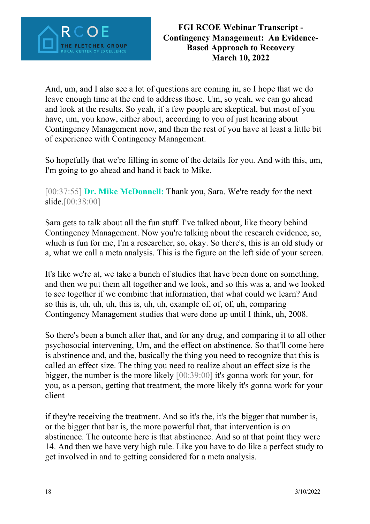

And, um, and I also see a lot of questions are coming in, so I hope that we do leave enough time at the end to address those. Um, so yeah, we can go ahead and look at the results. So yeah, if a few people are skeptical, but most of you have, um, you know, either about, according to you of just hearing about Contingency Management now, and then the rest of you have at least a little bit of experience with Contingency Management.

So hopefully that we're filling in some of the details for you. And with this, um, I'm going to go ahead and hand it back to Mike.

[00:37:55] **Dr. Mike McDonnell:** Thank you, Sara. We're ready for the next slide.<sup>[00:38:00]</sup>

Sara gets to talk about all the fun stuff. I've talked about, like theory behind Contingency Management. Now you're talking about the research evidence, so, which is fun for me, I'm a researcher, so, okay. So there's, this is an old study or a, what we call a meta analysis. This is the figure on the left side of your screen.

It's like we're at, we take a bunch of studies that have been done on something, and then we put them all together and we look, and so this was a, and we looked to see together if we combine that information, that what could we learn? And so this is, uh, uh, uh, this is, uh, uh, example of, of, of, uh, comparing Contingency Management studies that were done up until I think, uh, 2008.

So there's been a bunch after that, and for any drug, and comparing it to all other psychosocial intervening, Um, and the effect on abstinence. So that'll come here is abstinence and, and the, basically the thing you need to recognize that this is called an effect size. The thing you need to realize about an effect size is the bigger, the number is the more likely [00:39:00] it's gonna work for your, for you, as a person, getting that treatment, the more likely it's gonna work for your client

if they're receiving the treatment. And so it's the, it's the bigger that number is, or the bigger that bar is, the more powerful that, that intervention is on abstinence. The outcome here is that abstinence. And so at that point they were 14. And then we have very high rule. Like you have to do like a perfect study to get involved in and to getting considered for a meta analysis.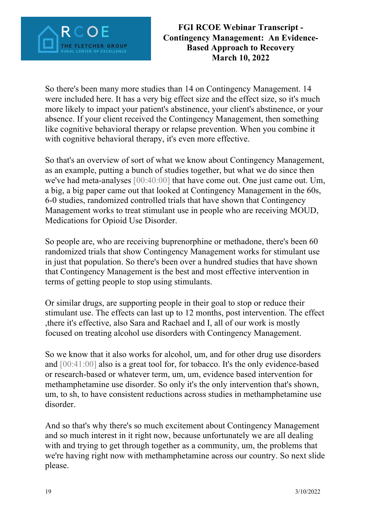

So there's been many more studies than 14 on Contingency Management. 14 were included here. It has a very big effect size and the effect size, so it's much more likely to impact your patient's abstinence, your client's abstinence, or your absence. If your client received the Contingency Management, then something like cognitive behavioral therapy or relapse prevention. When you combine it with cognitive behavioral therapy, it's even more effective.

So that's an overview of sort of what we know about Contingency Management, as an example, putting a bunch of studies together, but what we do since then we've had meta-analyses [00:40:00] that have come out. One just came out. Um, a big, a big paper came out that looked at Contingency Management in the 60s, 6-0 studies, randomized controlled trials that have shown that Contingency Management works to treat stimulant use in people who are receiving MOUD, Medications for Opioid Use Disorder.

So people are, who are receiving buprenorphine or methadone, there's been 60 randomized trials that show Contingency Management works for stimulant use in just that population. So there's been over a hundred studies that have shown that Contingency Management is the best and most effective intervention in terms of getting people to stop using stimulants.

Or similar drugs, are supporting people in their goal to stop or reduce their stimulant use. The effects can last up to 12 months, post intervention. The effect ,there it's effective, also Sara and Rachael and I, all of our work is mostly focused on treating alcohol use disorders with Contingency Management.

So we know that it also works for alcohol, um, and for other drug use disorders and [00:41:00] also is a great tool for, for tobacco. It's the only evidence-based or research-based or whatever term, um, um, evidence based intervention for methamphetamine use disorder. So only it's the only intervention that's shown, um, to sh, to have consistent reductions across studies in methamphetamine use disorder.

And so that's why there's so much excitement about Contingency Management and so much interest in it right now, because unfortunately we are all dealing with and trying to get through together as a community, um, the problems that we're having right now with methamphetamine across our country. So next slide please.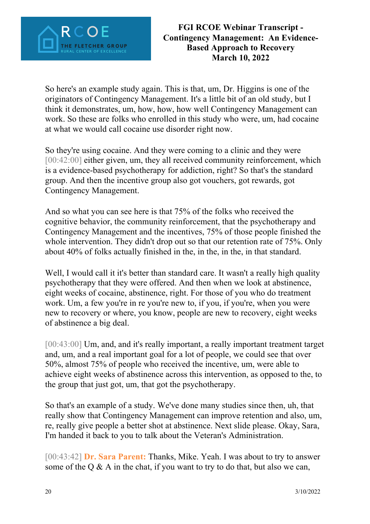

So here's an example study again. This is that, um, Dr. Higgins is one of the originators of Contingency Management. It's a little bit of an old study, but I think it demonstrates, um, how, how, how well Contingency Management can work. So these are folks who enrolled in this study who were, um, had cocaine at what we would call cocaine use disorder right now.

So they're using cocaine. And they were coming to a clinic and they were [00:42:00] either given, um, they all received community reinforcement, which is a evidence-based psychotherapy for addiction, right? So that's the standard group. And then the incentive group also got vouchers, got rewards, got Contingency Management.

And so what you can see here is that 75% of the folks who received the cognitive behavior, the community reinforcement, that the psychotherapy and Contingency Management and the incentives, 75% of those people finished the whole intervention. They didn't drop out so that our retention rate of 75%. Only about 40% of folks actually finished in the, in the, in the, in that standard.

Well, I would call it it's better than standard care. It wasn't a really high quality psychotherapy that they were offered. And then when we look at abstinence, eight weeks of cocaine, abstinence, right. For those of you who do treatment work. Um, a few you're in re you're new to, if you, if you're, when you were new to recovery or where, you know, people are new to recovery, eight weeks of abstinence a big deal.

[00:43:00] Um, and, and it's really important, a really important treatment target and, um, and a real important goal for a lot of people, we could see that over 50%, almost 75% of people who received the incentive, um, were able to achieve eight weeks of abstinence across this intervention, as opposed to the, to the group that just got, um, that got the psychotherapy.

So that's an example of a study. We've done many studies since then, uh, that really show that Contingency Management can improve retention and also, um, re, really give people a better shot at abstinence. Next slide please. Okay, Sara, I'm handed it back to you to talk about the Veteran's Administration.

[00:43:42] **Dr. Sara Parent:** Thanks, Mike. Yeah. I was about to try to answer some of the Q  $\&$  A in the chat, if you want to try to do that, but also we can,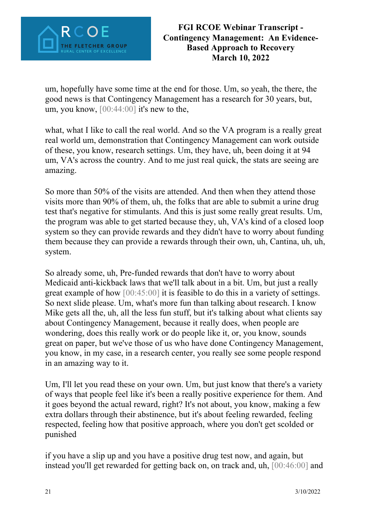

um, hopefully have some time at the end for those. Um, so yeah, the there, the good news is that Contingency Management has a research for 30 years, but, um, you know, [00:44:00] it's new to the,

what, what I like to call the real world. And so the VA program is a really great real world um, demonstration that Contingency Management can work outside of these, you know, research settings. Um, they have, uh, been doing it at 94 um, VA's across the country. And to me just real quick, the stats are seeing are amazing.

So more than 50% of the visits are attended. And then when they attend those visits more than 90% of them, uh, the folks that are able to submit a urine drug test that's negative for stimulants. And this is just some really great results. Um, the program was able to get started because they, uh, VA's kind of a closed loop system so they can provide rewards and they didn't have to worry about funding them because they can provide a rewards through their own, uh, Cantina, uh, uh, system.

So already some, uh, Pre-funded rewards that don't have to worry about Medicaid anti-kickback laws that we'll talk about in a bit. Um, but just a really great example of how [00:45:00] it is feasible to do this in a variety of settings. So next slide please. Um, what's more fun than talking about research. I know Mike gets all the, uh, all the less fun stuff, but it's talking about what clients say about Contingency Management, because it really does, when people are wondering, does this really work or do people like it, or, you know, sounds great on paper, but we've those of us who have done Contingency Management, you know, in my case, in a research center, you really see some people respond in an amazing way to it.

Um, I'll let you read these on your own. Um, but just know that there's a variety of ways that people feel like it's been a really positive experience for them. And it goes beyond the actual reward, right? It's not about, you know, making a few extra dollars through their abstinence, but it's about feeling rewarded, feeling respected, feeling how that positive approach, where you don't get scolded or punished

if you have a slip up and you have a positive drug test now, and again, but instead you'll get rewarded for getting back on, on track and, uh, [00:46:00] and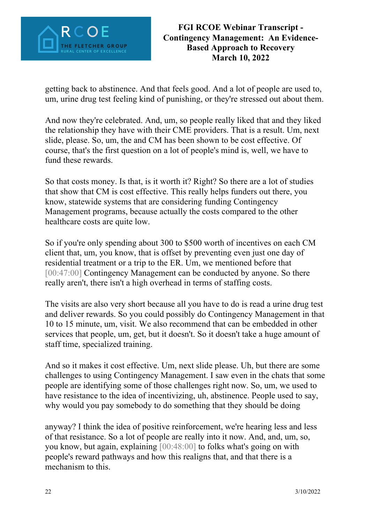

getting back to abstinence. And that feels good. And a lot of people are used to, um, urine drug test feeling kind of punishing, or they're stressed out about them.

And now they're celebrated. And, um, so people really liked that and they liked the relationship they have with their CME providers. That is a result. Um, next slide, please. So, um, the and CM has been shown to be cost effective. Of course, that's the first question on a lot of people's mind is, well, we have to fund these rewards.

So that costs money. Is that, is it worth it? Right? So there are a lot of studies that show that CM is cost effective. This really helps funders out there, you know, statewide systems that are considering funding Contingency Management programs, because actually the costs compared to the other healthcare costs are quite low.

So if you're only spending about 300 to \$500 worth of incentives on each CM client that, um, you know, that is offset by preventing even just one day of residential treatment or a trip to the ER. Um, we mentioned before that [00:47:00] Contingency Management can be conducted by anyone. So there really aren't, there isn't a high overhead in terms of staffing costs.

The visits are also very short because all you have to do is read a urine drug test and deliver rewards. So you could possibly do Contingency Management in that 10 to 15 minute, um, visit. We also recommend that can be embedded in other services that people, um, get, but it doesn't. So it doesn't take a huge amount of staff time, specialized training.

And so it makes it cost effective. Um, next slide please. Uh, but there are some challenges to using Contingency Management. I saw even in the chats that some people are identifying some of those challenges right now. So, um, we used to have resistance to the idea of incentivizing, uh, abstinence. People used to say, why would you pay somebody to do something that they should be doing

anyway? I think the idea of positive reinforcement, we're hearing less and less of that resistance. So a lot of people are really into it now. And, and, um, so, you know, but again, explaining [00:48:00] to folks what's going on with people's reward pathways and how this realigns that, and that there is a mechanism to this.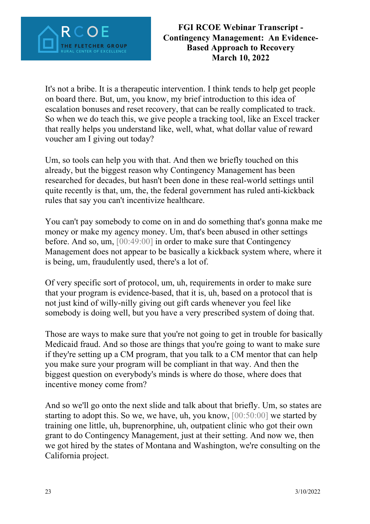

It's not a bribe. It is a therapeutic intervention. I think tends to help get people on board there. But, um, you know, my brief introduction to this idea of escalation bonuses and reset recovery, that can be really complicated to track. So when we do teach this, we give people a tracking tool, like an Excel tracker that really helps you understand like, well, what, what dollar value of reward voucher am I giving out today?

Um, so tools can help you with that. And then we briefly touched on this already, but the biggest reason why Contingency Management has been researched for decades, but hasn't been done in these real-world settings until quite recently is that, um, the, the federal government has ruled anti-kickback rules that say you can't incentivize healthcare.

You can't pay somebody to come on in and do something that's gonna make me money or make my agency money. Um, that's been abused in other settings before. And so, um, [00:49:00] in order to make sure that Contingency Management does not appear to be basically a kickback system where, where it is being, um, fraudulently used, there's a lot of.

Of very specific sort of protocol, um, uh, requirements in order to make sure that your program is evidence-based, that it is, uh, based on a protocol that is not just kind of willy-nilly giving out gift cards whenever you feel like somebody is doing well, but you have a very prescribed system of doing that.

Those are ways to make sure that you're not going to get in trouble for basically Medicaid fraud. And so those are things that you're going to want to make sure if they're setting up a CM program, that you talk to a CM mentor that can help you make sure your program will be compliant in that way. And then the biggest question on everybody's minds is where do those, where does that incentive money come from?

And so we'll go onto the next slide and talk about that briefly. Um, so states are starting to adopt this. So we, we have, uh, you know, [00:50:00] we started by training one little, uh, buprenorphine, uh, outpatient clinic who got their own grant to do Contingency Management, just at their setting. And now we, then we got hired by the states of Montana and Washington, we're consulting on the California project.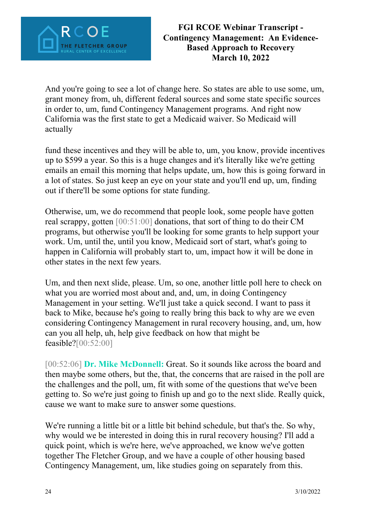

And you're going to see a lot of change here. So states are able to use some, um, grant money from, uh, different federal sources and some state specific sources in order to, um, fund Contingency Management programs. And right now California was the first state to get a Medicaid waiver. So Medicaid will actually

fund these incentives and they will be able to, um, you know, provide incentives up to \$599 a year. So this is a huge changes and it's literally like we're getting emails an email this morning that helps update, um, how this is going forward in a lot of states. So just keep an eye on your state and you'll end up, um, finding out if there'll be some options for state funding.

Otherwise, um, we do recommend that people look, some people have gotten real scrappy, gotten [00:51:00] donations, that sort of thing to do their CM programs, but otherwise you'll be looking for some grants to help support your work. Um, until the, until you know, Medicaid sort of start, what's going to happen in California will probably start to, um, impact how it will be done in other states in the next few years.

Um, and then next slide, please. Um, so one, another little poll here to check on what you are worried most about and, and, um, in doing Contingency Management in your setting. We'll just take a quick second. I want to pass it back to Mike, because he's going to really bring this back to why are we even considering Contingency Management in rural recovery housing, and, um, how can you all help, uh, help give feedback on how that might be feasible?[00:52:00]

[00:52:06] **Dr. Mike McDonnell:** Great. So it sounds like across the board and then maybe some others, but the, that, the concerns that are raised in the poll are the challenges and the poll, um, fit with some of the questions that we've been getting to. So we're just going to finish up and go to the next slide. Really quick, cause we want to make sure to answer some questions.

We're running a little bit or a little bit behind schedule, but that's the. So why, why would we be interested in doing this in rural recovery housing? I'll add a quick point, which is we're here, we've approached, we know we've gotten together The Fletcher Group, and we have a couple of other housing based Contingency Management, um, like studies going on separately from this.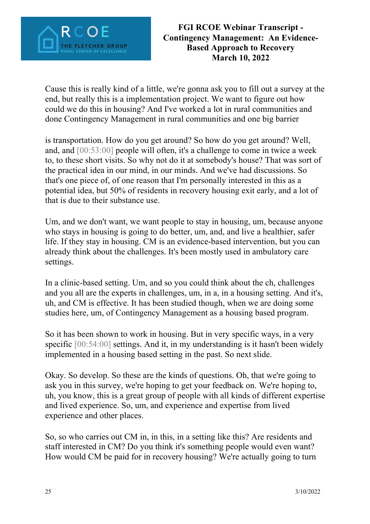

Cause this is really kind of a little, we're gonna ask you to fill out a survey at the end, but really this is a implementation project. We want to figure out how could we do this in housing? And I've worked a lot in rural communities and done Contingency Management in rural communities and one big barrier

is transportation. How do you get around? So how do you get around? Well, and, and [00:53:00] people will often, it's a challenge to come in twice a week to, to these short visits. So why not do it at somebody's house? That was sort of the practical idea in our mind, in our minds. And we've had discussions. So that's one piece of, of one reason that I'm personally interested in this as a potential idea, but 50% of residents in recovery housing exit early, and a lot of that is due to their substance use.

Um, and we don't want, we want people to stay in housing, um, because anyone who stays in housing is going to do better, um, and, and live a healthier, safer life. If they stay in housing. CM is an evidence-based intervention, but you can already think about the challenges. It's been mostly used in ambulatory care settings.

In a clinic-based setting. Um, and so you could think about the ch, challenges and you all are the experts in challenges, um, in a, in a housing setting. And it's, uh, and CM is effective. It has been studied though, when we are doing some studies here, um, of Contingency Management as a housing based program.

So it has been shown to work in housing. But in very specific ways, in a very specific [00:54:00] settings. And it, in my understanding is it hasn't been widely implemented in a housing based setting in the past. So next slide.

Okay. So develop. So these are the kinds of questions. Oh, that we're going to ask you in this survey, we're hoping to get your feedback on. We're hoping to, uh, you know, this is a great group of people with all kinds of different expertise and lived experience. So, um, and experience and expertise from lived experience and other places.

So, so who carries out CM in, in this, in a setting like this? Are residents and staff interested in CM? Do you think it's something people would even want? How would CM be paid for in recovery housing? We're actually going to turn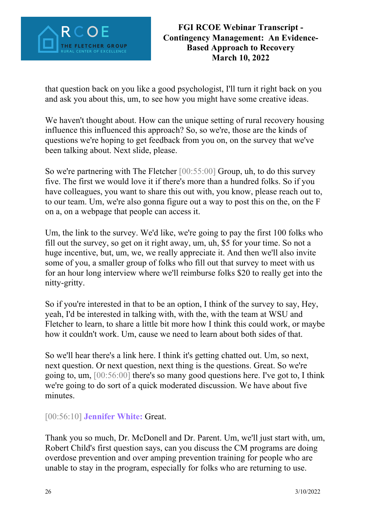

that question back on you like a good psychologist, I'll turn it right back on you and ask you about this, um, to see how you might have some creative ideas.

We haven't thought about. How can the unique setting of rural recovery housing influence this influenced this approach? So, so we're, those are the kinds of questions we're hoping to get feedback from you on, on the survey that we've been talking about. Next slide, please.

So we're partnering with The Fletcher [00:55:00] Group, uh, to do this survey five. The first we would love it if there's more than a hundred folks. So if you have colleagues, you want to share this out with, you know, please reach out to, to our team. Um, we're also gonna figure out a way to post this on the, on the F on a, on a webpage that people can access it.

Um, the link to the survey. We'd like, we're going to pay the first 100 folks who fill out the survey, so get on it right away, um, uh, \$5 for your time. So not a huge incentive, but, um, we, we really appreciate it. And then we'll also invite some of you, a smaller group of folks who fill out that survey to meet with us for an hour long interview where we'll reimburse folks \$20 to really get into the nitty-gritty.

So if you're interested in that to be an option, I think of the survey to say, Hey, yeah, I'd be interested in talking with, with the, with the team at WSU and Fletcher to learn, to share a little bit more how I think this could work, or maybe how it couldn't work. Um, cause we need to learn about both sides of that.

So we'll hear there's a link here. I think it's getting chatted out. Um, so next, next question. Or next question, next thing is the questions. Great. So we're going to, um, [00:56:00] there's so many good questions here. I've got to, I think we're going to do sort of a quick moderated discussion. We have about five minutes.

[00:56:10] **Jennifer White:** Great.

Thank you so much, Dr. McDonell and Dr. Parent. Um, we'll just start with, um, Robert Child's first question says, can you discuss the CM programs are doing overdose prevention and over amping prevention training for people who are unable to stay in the program, especially for folks who are returning to use.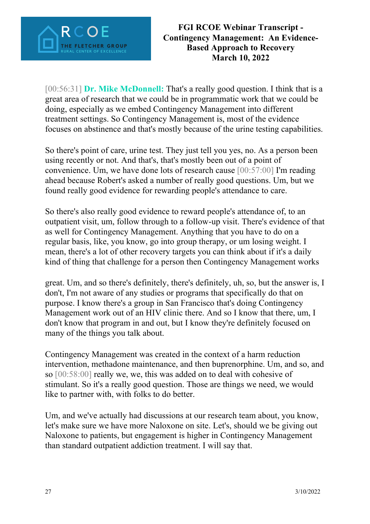

[00:56:31] **Dr. Mike McDonnell:** That's a really good question. I think that is a great area of research that we could be in programmatic work that we could be doing, especially as we embed Contingency Management into different treatment settings. So Contingency Management is, most of the evidence focuses on abstinence and that's mostly because of the urine testing capabilities.

So there's point of care, urine test. They just tell you yes, no. As a person been using recently or not. And that's, that's mostly been out of a point of convenience. Um, we have done lots of research cause [00:57:00] I'm reading ahead because Robert's asked a number of really good questions. Um, but we found really good evidence for rewarding people's attendance to care.

So there's also really good evidence to reward people's attendance of, to an outpatient visit, um, follow through to a follow-up visit. There's evidence of that as well for Contingency Management. Anything that you have to do on a regular basis, like, you know, go into group therapy, or um losing weight. I mean, there's a lot of other recovery targets you can think about if it's a daily kind of thing that challenge for a person then Contingency Management works

great. Um, and so there's definitely, there's definitely, uh, so, but the answer is, I don't, I'm not aware of any studies or programs that specifically do that on purpose. I know there's a group in San Francisco that's doing Contingency Management work out of an HIV clinic there. And so I know that there, um, I don't know that program in and out, but I know they're definitely focused on many of the things you talk about.

Contingency Management was created in the context of a harm reduction intervention, methadone maintenance, and then buprenorphine. Um, and so, and so [00:58:00] really we, we, this was added on to deal with cohesive of stimulant. So it's a really good question. Those are things we need, we would like to partner with, with folks to do better.

Um, and we've actually had discussions at our research team about, you know, let's make sure we have more Naloxone on site. Let's, should we be giving out Naloxone to patients, but engagement is higher in Contingency Management than standard outpatient addiction treatment. I will say that.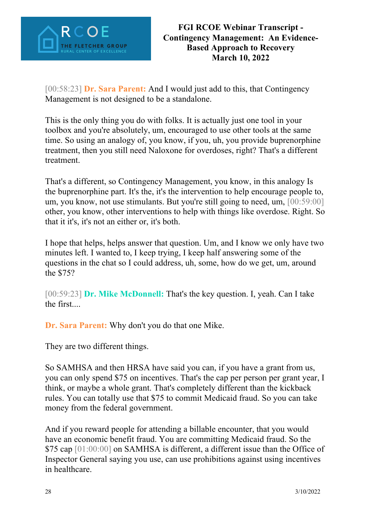

[00:58:23] **Dr. Sara Parent:** And I would just add to this, that Contingency Management is not designed to be a standalone.

This is the only thing you do with folks. It is actually just one tool in your toolbox and you're absolutely, um, encouraged to use other tools at the same time. So using an analogy of, you know, if you, uh, you provide buprenorphine treatment, then you still need Naloxone for overdoses, right? That's a different treatment.

That's a different, so Contingency Management, you know, in this analogy Is the buprenorphine part. It's the, it's the intervention to help encourage people to, um, you know, not use stimulants. But you're still going to need, um, [00:59:00] other, you know, other interventions to help with things like overdose. Right. So that it it's, it's not an either or, it's both.

I hope that helps, helps answer that question. Um, and I know we only have two minutes left. I wanted to, I keep trying, I keep half answering some of the questions in the chat so I could address, uh, some, how do we get, um, around the \$75?

[00:59:23] **Dr. Mike McDonnell:** That's the key question. I, yeah. Can I take the first....

**Dr. Sara Parent:** Why don't you do that one Mike.

They are two different things.

So SAMHSA and then HRSA have said you can, if you have a grant from us, you can only spend \$75 on incentives. That's the cap per person per grant year, I think, or maybe a whole grant. That's completely different than the kickback rules. You can totally use that \$75 to commit Medicaid fraud. So you can take money from the federal government.

And if you reward people for attending a billable encounter, that you would have an economic benefit fraud. You are committing Medicaid fraud. So the \$75 cap [01:00:00] on SAMHSA is different, a different issue than the Office of Inspector General saying you use, can use prohibitions against using incentives in healthcare.